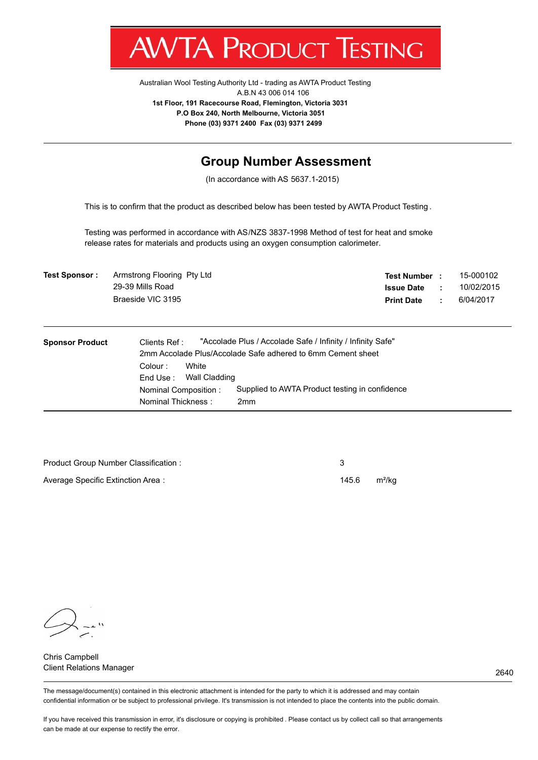

Australian Wool Testing Authority Ltd - trading as AWTA Product Testing A.B.N 43 006 014 106 **1st Floor, 191 Racecourse Road, Flemington, Victoria 3031 P.O Box 240, North Melbourne, Victoria 3051 Phone (03) 9371 2400 Fax (03) 9371 2499**

## **Group Number Assessment**

(In accordance with AS 5637.1-2015)

This is to confirm that the product as described below has been tested by AWTA Product Testing .

Testing was performed in accordance with AS/NZS 3837-1998 Method of test for heat and smoke release rates for materials and products using an oxygen consumption calorimeter.

| <b>Test Sponsor:</b> | Armstrong Flooring Pty Ltd | Test Number :     | 15-000102  |
|----------------------|----------------------------|-------------------|------------|
|                      | 29-39 Mills Road           | <b>Issue Date</b> | 10/02/2015 |
|                      | Braeside VIC 3195          | <b>Print Date</b> | 6/04/2017  |

| <b>Sponsor Product</b> | "Accolade Plus / Accolade Safe / Infinity / Infinity Safe"<br>Clients Ref:<br>2mm Accolade Plus/Accolade Safe adhered to 6mm Cement sheet |
|------------------------|-------------------------------------------------------------------------------------------------------------------------------------------|
|                        | White<br>Colour:<br>Wall Cladding<br>End Use :                                                                                            |
|                        | Supplied to AWTA Product testing in confidence<br>Nominal Composition:<br>Nominal Thickness:<br>2 <sub>mm</sub>                           |

| Product Group Number Classification: |       |       |
|--------------------------------------|-------|-------|
| Average Specific Extinction Area:    | 145.6 | m²/ka |

Chris Campbell Client Relations Manager

The message/document(s) contained in this electronic attachment is intended for the party to which it is addressed and may contain confidential information or be subject to professional privilege. It's transmission is not intended to place the contents into the public domain.

If you have received this transmission in error, it's disclosure or copying is prohibited . Please contact us by collect call so that arrangements can be made at our expense to rectify the error.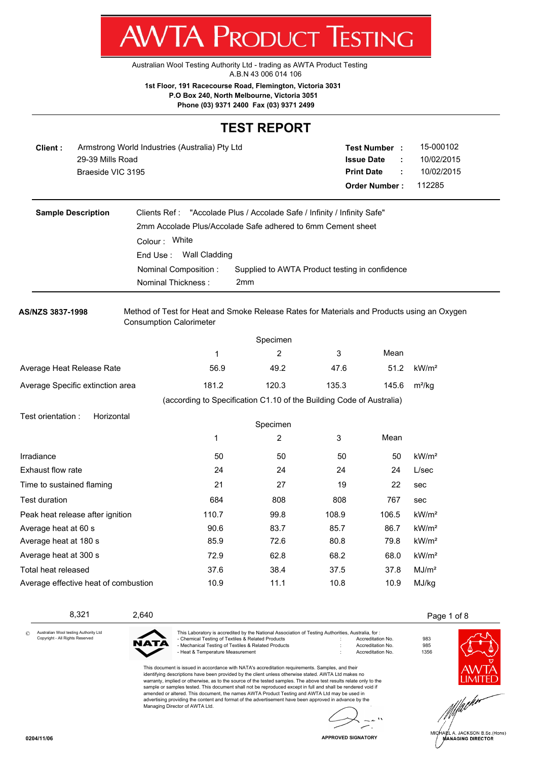Australian Wool Testing Authority Ltd - trading as AWTA Product Testing A.B.N 43 006 014 106

**1st Floor, 191 Racecourse Road, Flemington, Victoria 3031 P.O Box 240, North Melbourne, Victoria 3051**

**Phone (03) 9371 2400 Fax (03) 9371 2499**

#### **TEST REPORT**

**AWTA PRODUCT TESTING** 

| Client : | Armstrong World Industries (Australia) Pty Ltd | <b>Test Number</b>   |   | 15-000102  |
|----------|------------------------------------------------|----------------------|---|------------|
|          | 29-39 Mills Road                               | <b>Issue Date</b>    |   | 10/02/2015 |
|          | Braeside VIC 3195                              | <b>Print Date</b>    | ÷ | 10/02/2015 |
|          |                                                | <b>Order Number:</b> |   | 112285     |

| <b>Sample Description</b> | Clients Ref: "Accolade Plus / Accolade Safe / Infinity / Infinity Safe" |                                                |  |
|---------------------------|-------------------------------------------------------------------------|------------------------------------------------|--|
|                           | 2mm Accolade Plus/Accolade Safe adhered to 6mm Cement sheet             |                                                |  |
|                           | Colour: White                                                           |                                                |  |
|                           | End Use: Wall Cladding                                                  |                                                |  |
|                           | Nominal Composition:                                                    | Supplied to AWTA Product testing in confidence |  |
|                           | Nominal Thickness:                                                      | 2 <sub>mm</sub>                                |  |

**AS/NZS 3837-1998** Method of Test for Heat and Smoke Release Rates for Materials and Products using an Oxygen Consumption Calorimeter

|                                      |                                                                      | Specimen |       |       |                   |
|--------------------------------------|----------------------------------------------------------------------|----------|-------|-------|-------------------|
|                                      | 1                                                                    | 2        | 3     | Mean  |                   |
| Average Heat Release Rate            | 56.9                                                                 | 49.2     | 47.6  | 51.2  | kW/m <sup>2</sup> |
| Average Specific extinction area     | 181.2                                                                | 120.3    | 135.3 | 145.6 | $m^2/kg$          |
|                                      | (according to Specification C1.10 of the Building Code of Australia) |          |       |       |                   |
| Test orientation:<br>Horizontal      |                                                                      | Specimen |       |       |                   |
|                                      | 1                                                                    | 2        | 3     | Mean  |                   |
| Irradiance                           | 50                                                                   | 50       | 50    | 50    | kW/m <sup>2</sup> |
| Exhaust flow rate                    | 24                                                                   | 24       | 24    | 24    | L/sec             |
| Time to sustained flaming            | 21                                                                   | 27       | 19    | 22    | sec               |
| Test duration                        | 684                                                                  | 808      | 808   | 767   | sec               |
| Peak heat release after ignition     | 110.7                                                                | 99.8     | 108.9 | 106.5 | kW/m <sup>2</sup> |
| Average heat at 60 s                 | 90.6                                                                 | 83.7     | 85.7  | 86.7  | kW/m <sup>2</sup> |
| Average heat at 180 s                | 85.9                                                                 | 72.6     | 80.8  | 79.8  | kW/m <sup>2</sup> |
| Average heat at 300 s                | 72.9                                                                 | 62.8     | 68.2  | 68.0  | kW/m <sup>2</sup> |
| Total heat released                  | 37.6                                                                 | 38.4     | 37.5  | 37.8  | MJ/m <sup>2</sup> |
| Average effective heat of combustion | 10.9                                                                 | 11.1     | 10.8  | 10.9  | MJ/kg             |

#### 8,321 2,640 2,640 2,640 2,640 2,640 2,640 2,640 2,640 2,640 2,640 2,640 2,640 2,640 2,640 2,640 2,640 2,640 2,640 2,640 2,640 2,640 2,640 2,640 2,640 2,640 2,640 2,640 2,640 2,640 2,640 2,640 2,640 2,640 2,640 2,640 2,640

Australian Wool testing Authority Ltd Copyright - All Rights Reserved



This Laboratory is accredited by the National Association of Testing Authorities, Australia, for : - Chemical Testing of Textiles & Related Products : Accreditation No. 983 - Mechanical Testing of Textiles & Related Products **in the Confluence of the Confluence of Accreditation No.** 985<br>- Heat & Temperature Measurement **in the Confluence of the Accreditation No.** 1356 - Heat & Temperature Measurement : Accreditation No. 1356

This document is issued in accordance with NATA's accreditation requirements. Samples, and their identifying descriptions have been provided by the client unless otherwise stated. AWTA Ltd makes no warranty, implied or otherwise, as to the source of the tested samples. The above test results relate only to the sample or samples tested. This document shall not be reproduced except in full and shall be rendered void if amended or altered. This document, the names AWTA Product Testing and AWTA Ltd may be used in advertising providing the content and format of the advertisement have been approved in advance by the Managing Director of AWTA Ltd.

 $\ddot{\phantom{a}}$ Ä.





.<br>HA⊯L A. JACKSON B.Sc.(Hons) **MANAGING DIRECTOR** 

| <b>APPROVED SIGNATORY</b> |  |
|---------------------------|--|

©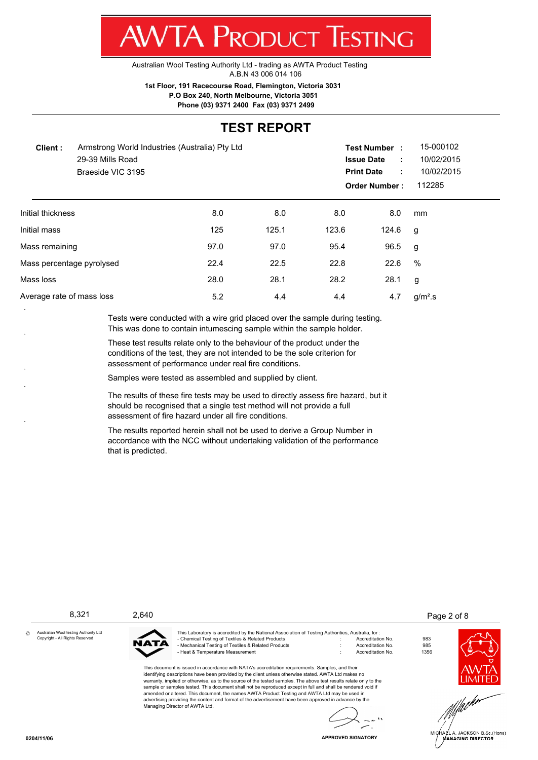**WTA PRODUCT TESTING** 

Australian Wool Testing Authority Ltd - trading as AWTA Product Testing A.B.N 43 006 014 106

**1st Floor, 191 Racecourse Road, Flemington, Victoria 3031**

 **P.O Box 240, North Melbourne, Victoria 3051**

**Phone (03) 9371 2400 Fax (03) 9371 2499**

## **TEST REPORT**

| Client:                   | Armstrong World Industries (Australia) Pty Ltd<br>29-39 Mills Road<br>Braeside VIC 3195 |      |       | <b>Issue Date</b><br><b>Print Date</b> | <b>Test Number:</b><br>÷<br>÷<br><b>Order Number:</b> | 15-000102<br>10/02/2015<br>10/02/2015<br>112285 |  |
|---------------------------|-----------------------------------------------------------------------------------------|------|-------|----------------------------------------|-------------------------------------------------------|-------------------------------------------------|--|
| Initial thickness         |                                                                                         | 8.0  | 8.0   | 8.0                                    | 8.0                                                   | mm                                              |  |
| Initial mass              |                                                                                         | 125  | 125.1 | 123.6                                  | 124.6                                                 | g                                               |  |
| Mass remaining            |                                                                                         | 97.0 | 97.0  | 95.4                                   | 96.5                                                  | g                                               |  |
|                           | Mass percentage pyrolysed                                                               | 22.4 | 22.5  | 22.8                                   | 22.6                                                  | %                                               |  |
| Mass loss                 |                                                                                         | 28.0 | 28.1  | 28.2                                   | 28.1                                                  | g                                               |  |
| Average rate of mass loss |                                                                                         | 5.2  | 4.4   | 4.4                                    | 4.7                                                   | $g/m2$ .s                                       |  |
|                           |                                                                                         |      |       |                                        |                                                       |                                                 |  |

Tests were conducted with a wire grid placed over the sample during testing. This was done to contain intumescing sample within the sample holder.

These test results relate only to the behaviour of the product under the conditions of the test, they are not intended to be the sole criterion for assessment of performance under real fire conditions.

Samples were tested as assembled and supplied by client.

The results of these fire tests may be used to directly assess fire hazard, but it should be recognised that a single test method will not provide a full assessment of fire hazard under all fire conditions.

The results reported herein shall not be used to derive a Group Number in accordance with the NCC without undertaking validation of the performance that is predicted.

8,321 2,640 2 and 2,640 2 and 2,640 2 and 2,640 2 and 2,640 2 and 2,640 2 and 2,640 2 and 2,640 2 and 2,640 2 and 2,640 2 and 2,640 2 and 2,640 2 and 2,640 2 and 2,640 2 and 2,640 2 and 2,640 2 and 2,640 2 and 2,640 2 and Australian Wool testing Authority Ltd This Laboratory is accredited by the National Association of Testing Authorities, Australia, for : © Copyright - All Rights Reserved - Chemical Testing of Textiles & Related Products<br>- Mechanical Testing of Textiles & Related Products : Accreditation No. 985<br>- Heat & Temperature Measurement : Accreditation No. 1356 **ATA** - Mechanical Testing of Textiles & Related Products - Heat & Temperature Measurement : Accreditation No. 1356 This document is issued in accordance with NATA's accreditation requirements. Samples, and their identifying descriptions have been provided by the client unless otherwise stated. AWTA Ltd makes no warranty, implied or otherwise, as to the source of the tested samples. The above test results relate only to the sample or samples tested. This document shall not be reproduced except in full and shall be rendered void if amended or altered. This document, the names AWTA Product Testing and AWTA Ltd may be used in advertising providing the content and format of the advertisement have been approved in advance by the Managing Director of AWTA Ltd.

**ÁANAGING DIRECTOR** 

**APPROVED SIGNATORY**



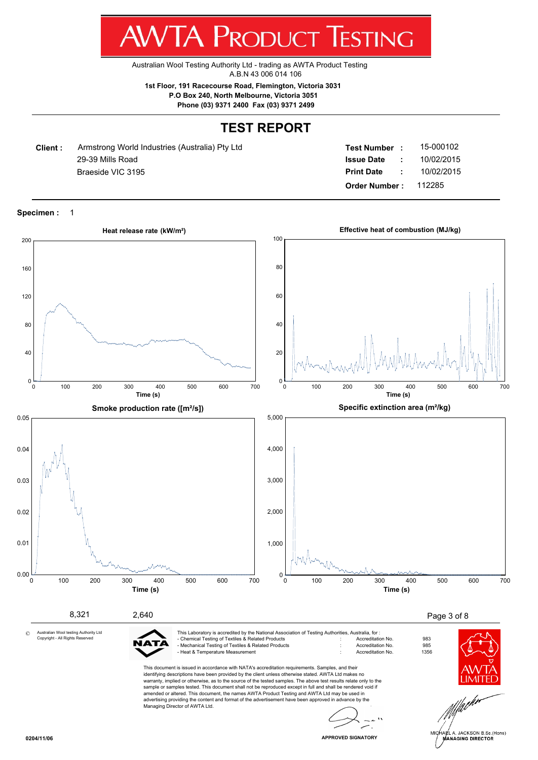**WTA PRODUCT TESTING** 

Australian Wool Testing Authority Ltd - trading as AWTA Product Testing A.B.N 43 006 014 106

**1st Floor, 191 Racecourse Road, Flemington, Victoria 3031 P.O Box 240, North Melbourne, Victoria 3051**

**Phone (03) 9371 2400 Fax (03) 9371 2499**

# **TEST REPORT**

**Client :** 29-39 Mills Road **Braeside VIC 3195** Armstrong World Industries (Australia) Pty Ltd

| <b>Test Number</b>   |   | 15-000102  |
|----------------------|---|------------|
| <b>Issue Date</b>    |   | 10/02/2015 |
| <b>Print Date</b>    | ٠ | 10/02/2015 |
| <b>Order Number:</b> |   | 112285     |

**Specimen :** 1

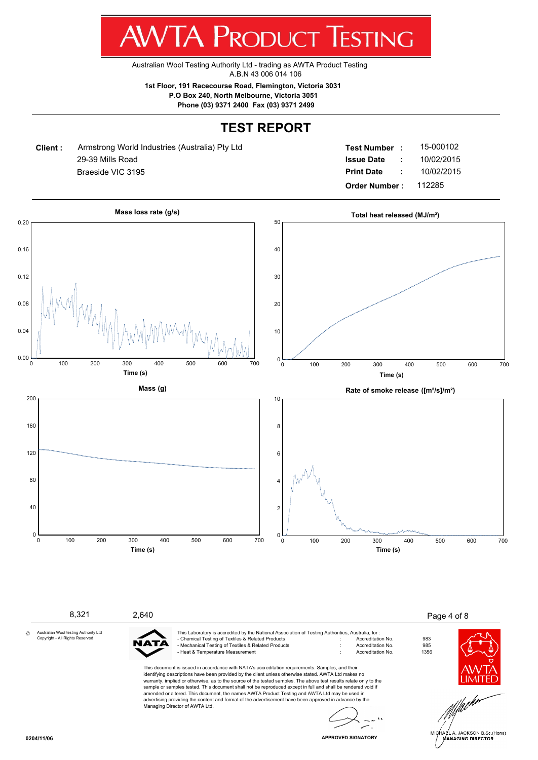

Australian Wool Testing Authority Ltd - trading as AWTA Product Testing A.B.N 43 006 014 106

**1st Floor, 191 Racecourse Road, Flemington, Victoria 3031 P.O Box 240, North Melbourne, Victoria 3051**

**Phone (03) 9371 2400 Fax (03) 9371 2499**

# **TEST REPORT**

**Client :** 29-39 Mills Road **Braeside VIC 3195** Armstrong World Industries (Australia) Pty Ltd

| <b>Test Number</b>   |   | 15-000102  |
|----------------------|---|------------|
| <b>Issue Date</b>    | ÷ | 10/02/2015 |
| <b>Print Date</b>    | ÷ | 10/02/2015 |
| <b>Order Number:</b> |   | 112285     |



8,321 2,640 2 and 2,640 2,640 2,640 2,640 2,640 2,640 2,640 2,640 2,640 2,640 2,640 2,640 2,640 2,640 2,640 2,640 2,640 2,640 2,640 2,640 2,640 2,640 2,640 2,640 2,640 2,640 2,640 2,640 2,640 2,640 2,640 2,640 2,640 2,640 Australian Wool testing Authority Ltd This Laboratory is accredited by the National Association of Testing Authorities, Australia, for : - Chemical Testing of Textiles & Related Products : Accreditation No. 983 Copyright - All Rights Reserved A1 Mechanical Testing of Textiles & Related Products<br>
Heat & Temperature Measurement 
and the Society of Accreditation No. 6356 - Heat & Temperature Measurement : Accreditation No. 1356 This document is issued in accordance with NATA's accreditation requirements. Samples, and their identifying descriptions have been provided by the client unless otherwise stated. AWTA Ltd makes no warranty, implied or otherwise, as to the source of the tested samples. The above test results relate only to the sample or samples tested. This document shall not be reproduced except in full and shall be rendered void if

amended or altered. This document, the names AWTA Product Testing and AWTA Ltd may be used in advertising providing the content and format of the advertisement have been approved in advance by the Managing Director of AWTA Ltd.





©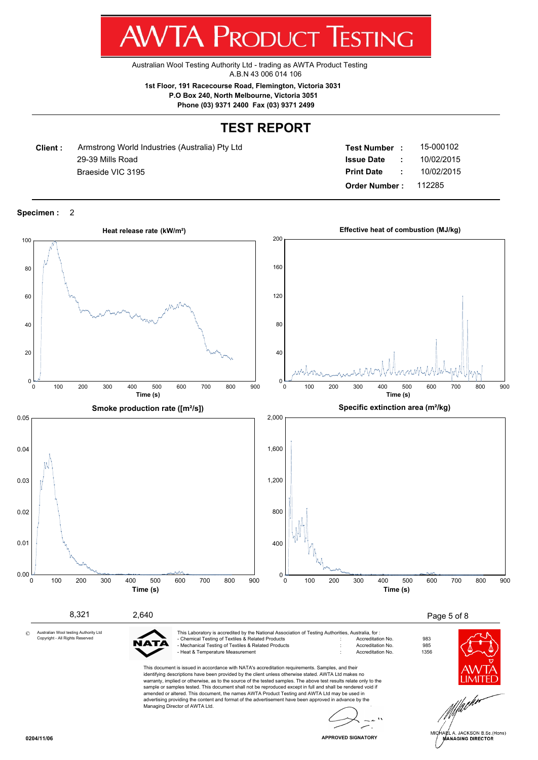**AWTA PRODUCT TESTING** 

Australian Wool Testing Authority Ltd - trading as AWTA Product Testing A.B.N 43 006 014 106

**1st Floor, 191 Racecourse Road, Flemington, Victoria 3031 P.O Box 240, North Melbourne, Victoria 3051**

**Phone (03) 9371 2400 Fax (03) 9371 2499**

## **TEST REPORT**

**Client :** 29-39 Mills Road **Braeside VIC 3195** Armstrong World Industries (Australia) Pty Ltd

| <b>Test Number</b>   |   | 15-000102  |
|----------------------|---|------------|
| <b>Issue Date</b>    |   | 10/02/2015 |
| <b>Print Date</b>    | ٠ | 10/02/2015 |
| <b>Order Number:</b> |   | 112285     |

**Specimen :** 2

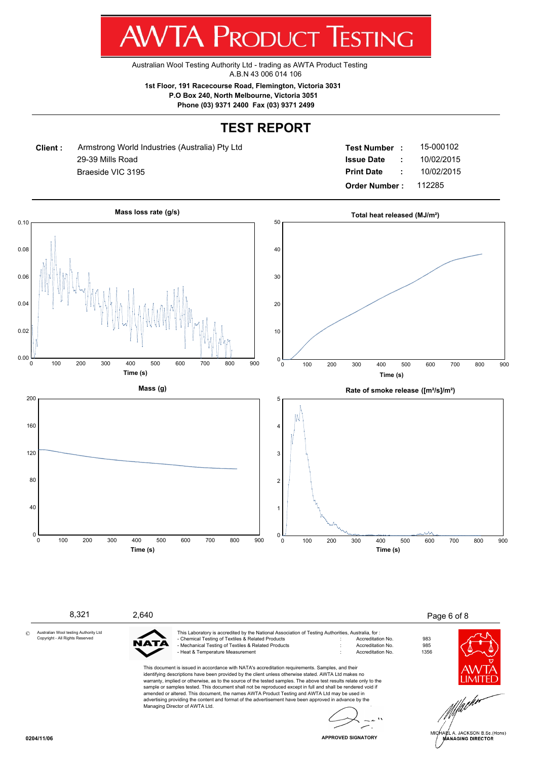**AWTA PRODUCT TESTING** 

Australian Wool Testing Authority Ltd - trading as AWTA Product Testing A.B.N 43 006 014 106

**1st Floor, 191 Racecourse Road, Flemington, Victoria 3031 P.O Box 240, North Melbourne, Victoria 3051**

**Phone (03) 9371 2400 Fax (03) 9371 2499**

# **TEST REPORT**

**Client :** 29-39 Mills Road **Braeside VIC 3195** Armstrong World Industries (Australia) Pty Ltd

| <b>Test Number</b>   |   | 15-000102  |
|----------------------|---|------------|
| <b>Issue Date</b>    |   | 10/02/2015 |
| <b>Print Date</b>    | ٠ | 10/02/2015 |
| <b>Order Number:</b> |   | 112285     |



8,321 2,640 2,640 2,640 2,640 2,640 2,640 2,640 2,640 2,640 2,640 2,640 2,640 2,640 2,640 2,640 2,640 2,640 2,640 2,640 2,640 2,640 2,640 2,640 2,640 2,640 2,640 2,640 2,640 2,640 2,640 2,640 2,640 2,640 2,640 2,640 2,640 Australian Wool testing Authority Ltd This Laboratory is accredited by the National Association of Testing Authorities, Australia, for : - Chemical Testing of Textiles & Related Products : Accreditation No. 983 Copyright - All Rights Reserved A1 Mechanical Testing of Textiles & Related Products<br>
Heat & Temperature Measurement 
and the Society of Accreditation No. 6356 - Heat & Temperature Measurement : Accreditation No. 1356 This document is issued in accordance with NATA's accreditation requirements. Samples, and their identifying descriptions have been provided by the client unless otherwise stated. AWTA Ltd makes no warranty, implied or otherwise, as to the source of the tested samples. The above test results relate only to the sample or samples tested. This document shall not be reproduced except in full and shall be rendered void if amended or altered. This document, the names AWTA Product Testing and AWTA Ltd may be used in advertising providing the content and format of the advertisement have been approved in advance by the Managing Director of AWTA Ltd.



A. JACKSON B.Sc.(Hons) **ANAGING DIRECTOR** 

©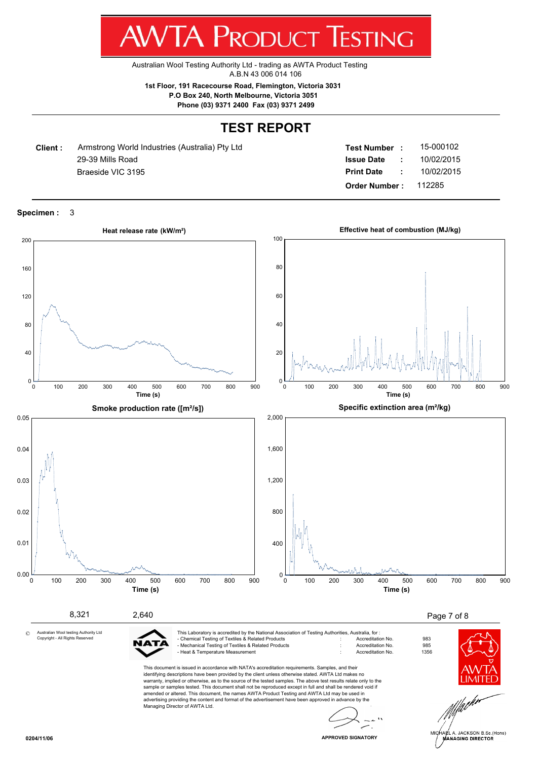**AWTA PRODUCT TESTING** 

Australian Wool Testing Authority Ltd - trading as AWTA Product Testing A.B.N 43 006 014 106

**1st Floor, 191 Racecourse Road, Flemington, Victoria 3031 P.O Box 240, North Melbourne, Victoria 3051**

**Phone (03) 9371 2400 Fax (03) 9371 2499**

# **TEST REPORT**

**Client :** 29-39 Mills Road **Braeside VIC 3195** Armstrong World Industries (Australia) Pty Ltd

| <b>Test Number</b>   |   | 15-000102  |
|----------------------|---|------------|
| <b>Issue Date</b>    |   | 10/02/2015 |
| <b>Print Date</b>    | ٠ | 10/02/2015 |
| <b>Order Number:</b> |   | 112285     |

**Specimen :** 3